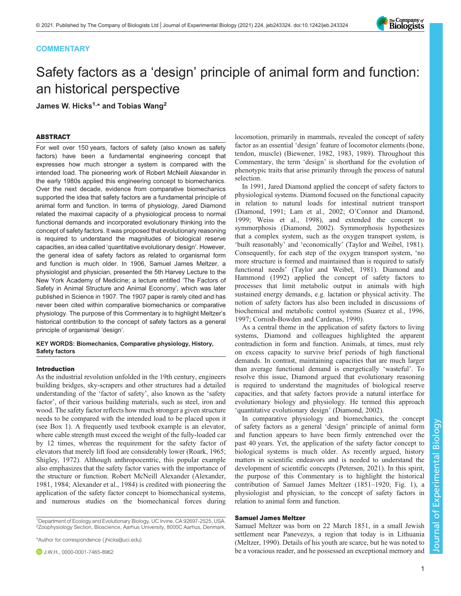# **COMMENTARY**

# Safety factors as a 'design' principle of animal form and function: an historical perspective

James W. Hicks<sup>1,\*</sup> and Tobias Wang<sup>2</sup>

## ABSTRACT

For well over 150 years, factors of safety (also known as safety factors) have been a fundamental engineering concept that expresses how much stronger a system is compared with the intended load. The pioneering work of Robert McNeill Alexander in the early 1980s applied this engineering concept to biomechanics. Over the next decade, evidence from comparative biomechanics supported the idea that safety factors are a fundamental principle of animal form and function. In terms of physiology, Jared Diamond related the maximal capacity of a physiological process to normal functional demands and incorporated evolutionary thinking into the concept of safety factors. It was proposed that evolutionary reasoning is required to understand the magnitudes of biological reserve capacities, an idea called 'quantitative evolutionary design'. However, the general idea of safety factors as related to organismal form and function is much older. In 1906, Samuel James Meltzer, a physiologist and physician, presented the 5th Harvey Lecture to the New York Academy of Medicine; a lecture entitled 'The Factors of Safety in Animal Structure and Animal Economy', which was later published in Science in 1907. The 1907 paper is rarely cited and has never been cited within comparative biomechanics or comparative physiology. The purpose of this Commentary is to highlight Meltzer's historical contribution to the concept of safety factors as a general principle of organismal 'design'.

## KEY WORDS: Biomechanics, Comparative physiology, History, Safety factors

#### Introduction

As the industrial revolution unfolded in the 19th century, engineers building bridges, sky-scrapers and other structures had a detailed understanding of the 'factor of safety', also known as the 'safety factor', of their various building materials, such as steel, iron and wood. The safety factor reflects how much stronger a given structure needs to be compared with the intended load to be placed upon it (see [Box 1\)](#page-1-0). A frequently used textbook example is an elevator, where cable strength must exceed the weight of the fully-loaded car by 12 times, whereas the requirement for the safety factor of elevators that merely lift food are considerably lower ([Roark, 1965](#page-3-0); [Shigley, 1972](#page-4-0)). Although anthropocentric, this popular example also emphasizes that the safety factor varies with the importance of the structure or function. Robert McNeill Alexander ([Alexander,](#page-3-0) [1981](#page-3-0), [1984; Alexander et al., 1984\)](#page-3-0) is credited with pioneering the application of the safety factor concept to biomechanical systems, and numerous studies on the biomechanical forces during

<sup>1</sup>Department of Ecology and Evolutionary Biology, UC Irvine, CA 92697-2525, USA. 2Zoophysiology Section, Bioscience, Aarhus University, 8000C Aarhus, Denmark.

\*Author for correspondence [\( jhicks@uci.edu\)](mailto:jhicks@uci.edu)

**D** J.W.H., [0000-0001-7465-8962](http://orcid.org/0000-0001-7465-8962)

locomotion, primarily in mammals, revealed the concept of safety factor as an essential 'design' feature of locomotor elements (bone, tendon, muscle) ([Biewener, 1982, 1983](#page-3-0), [1989\)](#page-3-0). Throughout this Commentary, the term 'design' is shorthand for the evolution of phenotypic traits that arise primarily through the process of natural selection.

In 1991, Jared Diamond applied the concept of safety factors to physiological systems. Diamond focused on the functional capacity in relation to natural loads for intestinal nutrient transport [\(Diamond, 1991](#page-3-0); [Lam et al., 2002;](#page-3-0) O'[Connor and Diamond,](#page-3-0) [1999;](#page-3-0) [Weiss et al., 1998](#page-4-0)), and extended the concept to symmorphosis ([Diamond, 2002\)](#page-3-0). Symmorphosis hypothesizes that a complex system, such as the oxygen transport system, is 'built reasonably' and 'economically' ([Taylor and Weibel, 1981\)](#page-4-0). Consequently, for each step of the oxygen transport system, 'no more structure is formed and maintained than is required to satisfy functional needs' ([Taylor and Weibel, 1981\)](#page-4-0). [Diamond and](#page-3-0) [Hammond \(1992\)](#page-3-0) applied the concept of safety factors to processes that limit metabolic output in animals with high sustained energy demands, e.g. lactation or physical activity. The notion of safety factors has also been included in discussions of biochemical and metabolic control systems [\(Suarez et al., 1996,](#page-4-0) [1997;](#page-4-0) [Cornish-Bowden and Cardenas, 1990\)](#page-3-0).

As a central theme in the application of safety factors to living systems, Diamond and colleagues highlighted the apparent contradiction in form and function. Animals, at times, must rely on excess capacity to survive brief periods of high functional demands. In contrast, maintaining capacities that are much larger than average functional demand is energetically 'wasteful'. To resolve this issue, Diamond argued that evolutionary reasoning is required to understand the magnitudes of biological reserve capacities, and that safety factors provide a natural interface for evolutionary biology and physiology. He termed this approach 'quantitative evolutionary design' [\(Diamond, 2002\)](#page-3-0).

In comparative physiology and biomechanics, the concept of safety factors as a general 'design' principle of animal form and function appears to have been firmly entrenched over the past 40 years. Yet, the application of the safety factor concept to biological systems is much older. As recently argued, history matters in scientific endeavors and is needed to understand the development of scientific concepts ([Petersen, 2021\)](#page-3-0). In this spirit, the purpose of this Commentary is to highlight the historical contribution of Samuel James Meltzer (1851–1920; [Fig. 1](#page-1-0)), a physiologist and physician, to the concept of safety factors in relation to animal form and function.

#### Samuel James Meltzer

Samuel Meltzer was born on 22 March 1851, in a small Jewish settlement near Panevezys, a region that today is in Lithuania [\(Meltzer, 1990\)](#page-3-0). Details of his youth are scarce, but he was noted to be a voracious reader, and he possessed an exceptional memory and

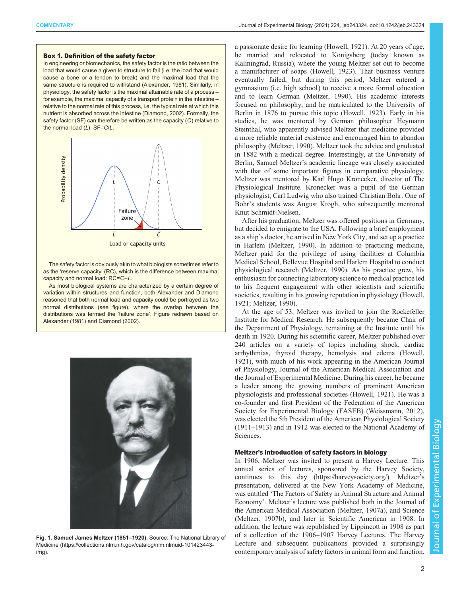#### <span id="page-1-0"></span>Box 1. Definition of the safety factor

In engineering or biomechanics, the safety factor is the ratio between the load that would cause a given to structure to fail (i.e. the load that would cause a bone or a tendon to break) and the maximal load that the same structure is required to withstand ([Alexander, 1981](#page-3-0)). Similarly, in physiology, the safety factor is the maximal attainable rate of a process – for example, the maximal capacity of a transport protein in the intestine – relative to the normal rate of this process, i.e. the typical rate at which this nutrient is absorbed across the intestine ([Diamond, 2002\)](#page-3-0). Formally, the safety factor (SF) can therefore be written as the capacity (C) relative to the normal load (L): SF=C/L.



The safety factor is obviously akin to what biologists sometimes refer to as the 'reserve capacity' (RC), which is the difference between maximal capacity and normal load: RC=C−L.

As most biological systems are characterized by a certain degree of variation within structures and function, both Alexander and Diamond reasoned that both normal load and capacity could be portrayed as two normal distributions (see figure), where the overlap between the distributions was termed the 'failure zone'. Figure redrawn based on [Alexander \(1981\)](#page-3-0) and [Diamond \(2002\)](#page-3-0).



Fig. 1. Samuel James Meltzer (1851–1920). Source: The National Library of Medicine [\(https://collections.nlm.nih.gov/catalog/nlm:nlmuid-101423443](https://collections.nlm.nih.gov/catalog/nlm:nlmuid-101423443-img) [img\)](https://collections.nlm.nih.gov/catalog/nlm:nlmuid-101423443-img).

a passionate desire for learning ([Howell, 1921\)](#page-3-0). At 20 years of age, he married and relocated to Konigsberg (today known as Kaliningrad, Russia), where the young Meltzer set out to become a manufacturer of soaps [\(Howell, 1923](#page-3-0)). That business venture eventually failed, but during this period, Meltzer entered a gymnasium (i.e. high school) to receive a more formal education and to learn German ([Meltzer, 1990\)](#page-3-0). His academic interests focused on philosophy, and he matriculated to the University of Berlin in 1876 to pursue this topic [\(Howell, 1923\)](#page-3-0). Early in his studies, he was mentored by German philosopher Heymann Steinthal, who apparently advised Meltzer that medicine provided a more reliable material existence and encouraged him to abandon philosophy [\(Meltzer, 1990](#page-3-0)). Meltzer took the advice and graduated in 1882 with a medical degree. Interestingly, at the University of Berlin, Samuel Meltzer's academic lineage was closely associated with that of some important figures in comparative physiology. Meltzer was mentored by Karl Hugo Kronecker, director of The Physiological Institute. Kronecker was a pupil of the German physiologist, Carl Ludwig who also trained Christian Bohr. One of Bohr's students was August Krogh, who subsequently mentored Knut Schmidt-Nielsen.

After his graduation, Meltzer was offered positions in Germany, but decided to emigrate to the USA. Following a brief employment as a ship's doctor, he arrived in New York City, and set up a practice in Harlem ([Meltzer, 1990](#page-3-0)). In addition to practicing medicine, Meltzer paid for the privilege of using facilities at Columbia Medical School, Bellevue Hospital and Harlem Hospital to conduct physiological research ([Meltzer, 1990\)](#page-3-0). As his practice grew, his enthusiasm for connecting laboratory science to medical practice led to his frequent engagement with other scientists and scientific societies, resulting in his growing reputation in physiology [\(Howell,](#page-3-0) [1921; Meltzer, 1990](#page-3-0)).

At the age of 53, Meltzer was invited to join the Rockefeller Institute for Medical Research. He subsequently became Chair of the Department of Physiology, remaining at the Institute until his death in 1920. During his scientific career, Meltzer published over 240 articles on a variety of topics including shock, cardiac arrhythmias, thyroid therapy, hemolysis and edema [\(Howell,](#page-3-0) [1921\)](#page-3-0), with much of his work appearing in the American Journal of Physiology, Journal of the American Medical Association and the Journal of Experimental Medicine. During his career, he became a leader among the growing numbers of prominent American physiologists and professional societies [\(Howell, 1921](#page-3-0)). He was a co-founder and first President of the Federation of the American Society for Experimental Biology (FASEB) ([Weissmann, 2012\)](#page-4-0), was elected the 5th President of the American Physiological Society (1911–1913) and in 1912 was elected to the National Academy of Sciences.

#### Meltzer's introduction of safety factors in biology

In 1906, Meltzer was invited to present a Harvey Lecture. This annual series of lectures, sponsored by the Harvey Society, continues to this day (<https://harveysociety.org/>). Meltzer's presentation, delivered at the New York Academy of Medicine, was entitled 'The Factors of Safety in Animal Structure and Animal Economy'. Meltzer's lecture was published both in the Journal of the American Medical Association [\(Meltzer, 1907a](#page-3-0)), and Science [\(Meltzer, 1907b\)](#page-3-0), and later in Scientific American in 1908. In addition, the lecture was republished by Lippincott in 1908 as part of a collection of the 1906–1907 Harvey Lectures. The Harvey Lecture and subsequent publications provided a surprisingly contemporary analysis of safety factors in animal form and function.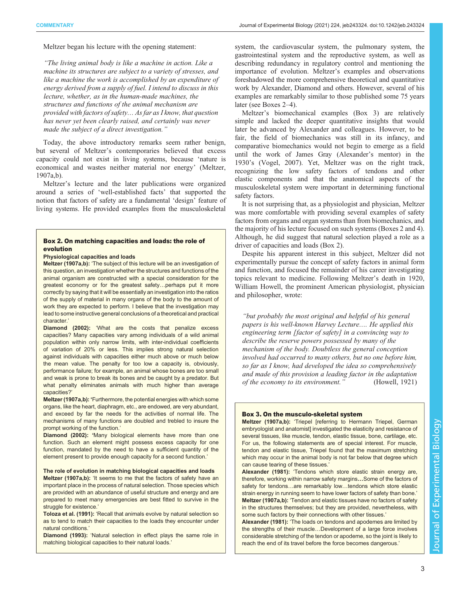Meltzer began his lecture with the opening statement:

"The living animal body is like a machine in action. Like a machine its structures are subject to a variety of stresses, and like a machine the work is accomplished by an expenditure of energy derived from a supply of fuel. I intend to discuss in this lecture, whether, as in the human-made machines, the structures and functions of the animal mechanism are provided with factors of safety… As far as I know, that question has never yet been clearly raised, and certainly was never made the subject of a direct investigation."

Today, the above introductory remarks seem rather benign, but several of Meltzer's contemporaries believed that excess capacity could not exist in living systems, because 'nature is economical and wastes neither material nor energy' [\(Meltzer,](#page-3-0) [1907a](#page-3-0),[b](#page-3-0)).

Meltzer's lecture and the later publications were organized around a series of 'well-established facts' that supported the notion that factors of safety are a fundamental 'design' feature of living systems. He provided examples from the musculoskeletal

### Box 2. On matching capacities and loads: the role of evolution

#### Physiological capacities and loads

[Meltzer \(1907a,b\)](#page-3-0): 'The subject of this lecture will be an investigation of this question, an investigation whether the structures and functions of the animal organism are constructed with a special consideration for the greatest economy or for the greatest safety…perhaps put it more correctly by saying that it will be essentially an investigation into the ratios of the supply of material in many organs of the body to the amount of work they are expected to perform. I believe that the investigation may lead to some instructive general conclusions of a theoretical and practical character.'

[Diamond \(2002](#page-3-0)): 'What are the costs that penalize excess capacities? Many capacities vary among individuals of a wild animal population within only narrow limits, with inter-individual coefficients of variation of 20% or less. This implies strong natural selection against individuals with capacities either much above or much below the mean value. The penalty for too low a capacity is, obviously, performance failure; for example, an animal whose bones are too small and weak is prone to break its bones and be caught by a predator. But what penalty eliminates animals with much higher than average capacities?'

[Meltzer \(1907a,b](#page-3-0)): 'Furthermore, the potential energies with which some organs, like the heart, diaphragm, etc., are endowed, are very abundant, and exceed by far the needs for the activities of normal life. The mechanisms of many functions are doubled and trebled to insure the prompt working of the function.'

[Diamond \(2002\)](#page-3-0): 'Many biological elements have more than one function. Such an element might possess excess capacity for one function, mandated by the need to have a sufficient quantity of the element present to provide enough capacity for a second function.'

#### The role of evolution in matching biological capacities and loads

[Meltzer \(1907a,b\)](#page-3-0): 'It seems to me that the factors of safety have an important place in the process of natural selection. Those species which are provided with an abundance of useful structure and energy and are prepared to meet many emergencies are best fitted to survive in the struggle for existence.'

[Toloza et al. \(1991\)](#page-4-0): 'Recall that animals evolve by natural selection so as to tend to match their capacities to the loads they encounter under natural conditions.'

[Diamond \(1993\)](#page-3-0): 'Natural selection in effect plays the same role in matching biological capacities to their natural loads.'

system, the cardiovascular system, the pulmonary system, the gastrointestinal system and the reproductive system, as well as describing redundancy in regulatory control and mentioning the importance of evolution. Meltzer's examples and observations foreshadowed the more comprehensive theoretical and quantitative work by Alexander, Diamond and others. However, several of his examples are remarkably similar to those published some 75 years later (see Boxes 2–[4](#page-3-0)).

Meltzer's biomechanical examples (Box 3) are relatively simple and lacked the deeper quantitative insights that would later be advanced by Alexander and colleagues. However, to be fair, the field of biomechanics was still in its infancy, and comparative biomechanics would not begin to emerge as a field until the work of James Gray (Alexander's mentor) in the 1930's ([Vogel, 2007](#page-4-0)). Yet, Meltzer was on the right track, recognizing the low safety factors of tendons and other elastic components and that the anatomical aspects of the musculoskeletal system were important in determining functional safety factors.

It is not surprising that, as a physiologist and physician, Meltzer was more comfortable with providing several examples of safety factors from organs and organ systems than from biomechanics, and the majority of his lecture focused on such systems (Boxes 2 and [4\)](#page-3-0). Although, he did suggest that natural selection played a role as a driver of capacities and loads (Box 2).

Despite his apparent interest in this subject, Meltzer did not experimentally pursue the concept of safety factors in animal form and function, and focused the remainder of his career investigating topics relevant to medicine. Following Meltzer's death in 1920, William Howell, the prominent American physiologist, physician and philosopher, wrote:

"but probably the most original and helpful of his general papers is his well-known Harvey Lecture…. He applied this engineering term [factor of safety] in a convincing way to describe the reserve powers possessed by many of the mechanism of the body. Doubtless the general conception involved had occurred to many others, but no one before him, so far as I know, had developed the idea so comprehensively and made of this provision a leading factor in the adaptation of the economy to its environment." ([Howell, 1921\)](#page-3-0)

### Box 3. On the musculo-skeletal system

[Meltzer \(1907a,](#page-3-0)b): 'Triepel [referring to Hermann Triepel, German embryologist and anatomist] investigated the elasticity and resistance of several tissues, like muscle, tendon, elastic tissue, bone, cartilage, etc. For us, the following statements are of special interest. For muscle, tendon and elastic tissue, Triepel found that the maximum stretching which may occur in the animal body is not far below that degree which can cause tearing of these tissues.'

[Alexander \(1981\)](#page-3-0): 'Tendons which store elastic strain energy are, therefore, working within narrow safety margins…Some of the factors of safety for tendons...are remarkably low...tendons which store elastic strain energy in running seem to have lower factors of safety than bone.' [Meltzer \(1907a,b\)](#page-3-0): 'Tendon and elastic tissues have no factors of safety in the structures themselves; but they are provided, nevertheless, with some such factors by their connections with other tissues.'

[Alexander \(1981](#page-3-0)): 'The loads on tendons and apodemes are limited by the strengths of their muscle…Development of a large force involves considerable stretching of the tendon or apodeme, so the joint is likely to reach the end of its travel before the force becomes dangerous.'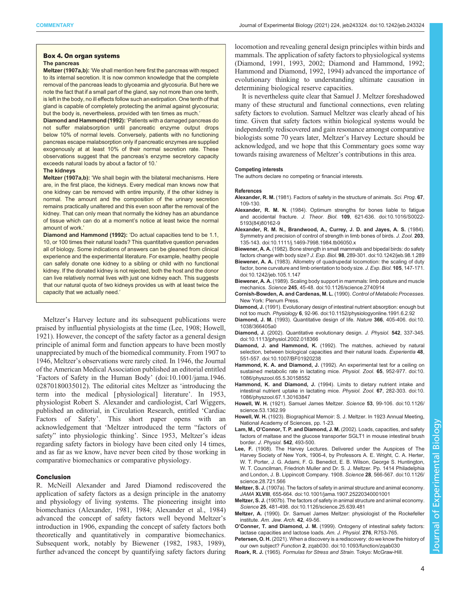#### <span id="page-3-0"></span>Box 4. On organ systems The pancreas

Meltzer (1907a,b): 'We shall mention here first the pancreas with respect to its internal secretion. It is now common knowledge that the complete removal of the pancreas leads to glyceamia and glycosuria. But here we note the fact that if a small part of the gland, say not more than one tenth, is left in the body, no ill effects follow such an extirpation. One tenth of that gland is capable of completely protecting the animal against glycosuria; but the body is, nevertheless, provided with ten times as much.'

Diamond and Hammond (1992): 'Patients with a damaged pancreas do not suffer malabsorption until pancreatic enzyme output drops below 10% of normal levels. Conversely, patients with no functioning pancreas escape malabsorption only if pancreatic enzymes are supplied exogenously at at least 10% of their normal secretion rate. These observations suggest that the pancreas's enzyme secretory capacity exceeds natural loads by about a factor of 10.'

#### The kidneys

Meltzer (1907a,b): 'We shall begin with the bilateral mechanisms. Here are, in the first place, the kidneys. Every medical man knows now that one kidney can be removed with entire impunity, if the other kidney is normal. The amount and the composition of the urinary secretion remains practically unaltered and this even soon after the removal of the kidney. That can only mean that normally the kidney has an abundance of tissue which can do at a moment's notice at least twice the normal amount of work.'

Diamond and Hammond (1992): 'Do actual capacities tend to be 1.1, 10, or 100 times their natural loads? This quantitative question pervades all of biology. Some indications of answers can be gleaned from clinical experience and the experimental literature. For example, healthy people can safely donate one kidney to a sibling or child with no functional kidney. If the donated kidney is not rejected, both the host and the donor can live relatively normal lives with just one kidney each. This suggests that our natural quota of two kidneys provides us with at least twice the capacity that we actually need.'

Meltzer's Harvey lecture and its subsequent publications were praised by influential physiologists at the time (Lee, 1908; Howell, 1921). However, the concept of the safety factor as a general design principle of animal form and function appears to have been mostly unappreciated by much of the biomedical community. From 1907 to 1946, Meltzer's observations were rarely cited. In 1946, the Journal of the American Medical Association published an editorial entitled 'Factors of Safety in the Human Body' ([doi:10.1001/jama.1946.](https://jamanetwork.com/journals/jama/article-abstract/285660) [02870180035012\)](https://jamanetwork.com/journals/jama/article-abstract/285660). The editorial cites Meltzer as 'introducing the term into the medical [ physiological] literature'. In 1953, physiologist Robert S. Alexander and cardiologist, Carl Wiggers, published an editorial, in Circulation Research, entitled 'Cardiac Factors of Safety'. This short paper opens with an acknowledgement that 'Meltzer introduced the term "factors of safety" into physiologic thinking'. Since 1953, Meltzer's ideas regarding safety factors in biology have been cited only 14 times, and as far as we know, have never been cited by those working in comparative biomechanics or comparative physiology.

#### Conclusion

R. McNeill Alexander and Jared Diamond rediscovered the application of safety factors as a design principle in the anatomy and physiology of living systems. The pioneering insight into biomechanics (Alexander, 1981, 1984; Alexander et al., 1984) advanced the concept of safety factors well beyond Meltzer's introduction in 1906, expanding the concept of safety factors both theoretically and quantitatively in comparative biomechanics. Subsequent work, notably by Biewener (1982, 1983, 1989), further advanced the concept by quantifying safety factors during

locomotion and revealing general design principles within birds and mammals. The application of safety factors to physiological systems (Diamond, 1991, 1993, 2002; Diamond and Hammond, 1992; Hammond and Diamond, 1992, 1994) advanced the importance of evolutionary thinking to understanding ultimate causation in determining biological reserve capacities.

It is nevertheless quite clear that Samuel J. Meltzer foreshadowed many of these structural and functional connections, even relating safety factors to evolution. Samuel Meltzer was clearly ahead of his time. Given that safety factors within biological systems would be independently rediscovered and gain resonance amongst comparative biologists some 70 years later, Meltzer's Harvey Lecture should be acknowledged, and we hope that this Commentary goes some way towards raising awareness of Meltzer's contributions in this area.

### Competing interests

The authors declare no competing or financial interests.

#### References

- Alexander, R. M. (1981). Factors of safety in the structure of animals. Sci. Prog. 67, 109-130.
- Alexander, R. M. N. [\(1984\). Optimum strengths for bones liable to fatigue](https://doi.org/10.1016/S0022-5193(84)80162-9) and accidental fracture. J. Theor. Biol. 109[, 621-636. doi:10.1016/S0022-](https://doi.org/10.1016/S0022-5193(84)80162-9) [5193\(84\)80162-9](https://doi.org/10.1016/S0022-5193(84)80162-9)
- [Alexander, R. M. N., Brandwood, A., Currey, J. D. and Jayes, A. S.](https://doi.org/10.1111/j.1469-7998.1984.tb06050.x) (1984). [Symmetry and precision of control of strength in limb bones of birds.](https://doi.org/10.1111/j.1469-7998.1984.tb06050.x) J. Zool. 203, [135-143. doi:10.1111/j.1469-7998.1984.tb06050.x](https://doi.org/10.1111/j.1469-7998.1984.tb06050.x)
- Biewener, A. A. [\(1982\). Bone strength in small mammals and bipedal birds: do safety](https://doi.org/10.1242/jeb.98.1.289) factors change with body size? J. Exp. Biol. 98[, 289-301. doi:10.1242/jeb.98.1.289](https://doi.org/10.1242/jeb.98.1.289)
- Biewener, A. A. [\(1983\). Allometry of quadrupedal locomotion: the scaling of duty](https://doi.org/10.1242/jeb.105.1.147) [factor, bone curvature and limb orientation to body size.](https://doi.org/10.1242/jeb.105.1.147) J. Exp. Biol. 105, 147-171. [doi:10.1242/jeb.105.1.147](https://doi.org/10.1242/jeb.105.1.147)
- Biewener, A. A. [\(1989\). Scaling body support in mammals: limb posture and muscle](https://doi.org/10.1126/science.2740914) mechanics. Science 245[, 45-48. doi:10.1126/science.2740914](https://doi.org/10.1126/science.2740914)
- Cornish-Bowden, A. and Cardenas, M. L. (1990). Control of Metabolic Processes. New York: Plenum Press.
- Diamond, J. [\(1991\). Evolutionary design of intestinal nutrient absorption: enough but](https://doi.org/10.1152/physiologyonline.1991.6.2.92) not too much. Physiology 6[, 92-96. doi:10.1152/physiologyonline.1991.6.2.92](https://doi.org/10.1152/physiologyonline.1991.6.2.92)
- Diamond, J. M. [\(1993\). Quantitative design of life.](https://doi.org/10.1038/366405a0) Nature 366, 405-406. doi:10. [1038/366405a0](https://doi.org/10.1038/366405a0)
- Diamond, J. [\(2002\). Quantitative evolutionary design.](https://doi.org/10.1113/jphysiol.2002.018366) J. Physiol. 542, 337-345. [doi:10.1113/jphysiol.2002.018366](https://doi.org/10.1113/jphysiol.2002.018366)
- Diamond, J. and Hammond, K. [\(1992\). The matches, achieved by natural](https://doi.org/10.1007/BF01920238) [selection, between biological capacities and their natural loads.](https://doi.org/10.1007/BF01920238) Experientia 48, [551-557. doi:10.1007/BF01920238](https://doi.org/10.1007/BF01920238)
- Hammond, K. A. and Diamond, J. [\(1992\). An experimental test for a ceiling on](https://doi.org/10.1086/physzool.65.5.30158552) [sustained metabolic rate in lactating mice.](https://doi.org/10.1086/physzool.65.5.30158552) Physiol. Zool. 65, 952-977. doi:10. [1086/physzool.65.5.30158552](https://doi.org/10.1086/physzool.65.5.30158552)
- Hammond, K. and Diamond, J. [\(1994\). Limits to dietary nutrient intake and](https://doi.org/10.1086/physzool.67.1.30163847) [intestinal nutrient uptake in lactating mice.](https://doi.org/10.1086/physzool.67.1.30163847) Physiol. Zool. 67, 282-303. doi:10. [1086/physzool.67.1.30163847](https://doi.org/10.1086/physzool.67.1.30163847)
- Howell, W. H. [\(1921\). Samuel James Meltzer.](https://doi.org/10.1126/science.53.1362.99) Science 53, 99-106. doi:10.1126/ [science.53.1362.99](https://doi.org/10.1126/science.53.1362.99)
- Howell, W. H. (1923). Biographical Memoir: S. J. Meltzer. In 1923 Annual Meeting, National Academy of Sciences, pp. 1-23.
- Lam, M., O'Connor, T. P. and Diamond, J. M. (2002). Loads, capacities, and safety factors of maltase and the glucose transporter SGLT1 in mouse intestinal brush border. J. Physiol. 542, 493-500.
- Lee, F. [\(1908\). The Harvey Lectures. Delivered under the Auspices of The](https://doi.org/10.1126/science.28.721.566) [Harvey Society of New York, 1906-4, by Professors A. E. Wright, C. A. Herter,](https://doi.org/10.1126/science.28.721.566) [W. T. Porter, J. G. Adami, F. G. Benedict, E. B. Wilson, George S. Huntington,](https://doi.org/10.1126/science.28.721.566) [W. T. Councilman, Friedrioh Muller and Dr. S. J. Meltzer. Pp. 1414 Philadelphia](https://doi.org/10.1126/science.28.721.566) [and London, J. B. Lippincott Company. 1908.](https://doi.org/10.1126/science.28.721.566) Science 28, 566-567. doi:10.1126/ [science.28.721.566](https://doi.org/10.1126/science.28.721.566)
- Meltzer, S. J. [\(1907a\). The factors of safety in animal structure and animal economy.](https://doi.org/10.1001/jama.1907.25220340001001) JAMA XLVIII[, 655-664. doi:10.1001/jama.1907.25220340001001](https://doi.org/10.1001/jama.1907.25220340001001)
- Meltzer, S. J. [\(1907b\). The factors of safety in animal structure and animal economy.](https://doi.org/10.1126/science.25.639.481) Science 25[, 481-498. doi:10.1126/science.25.639.481](https://doi.org/10.1126/science.25.639.481)
- Meltzer, A. (1990). Dr. Samuel James Meltzer: physiologist of the Rockefeller institute. Am. Jew. Arch. 42, 49-56.
- O'Conner, T. and Diamond, J. M. (1999). Ontogeny of intestinal safety factors: lactase capacities and lactose loads. Am. J. Physiol. 276, R753-765.
- Petersen, O. H. [\(2021\). When a discovery is a rediscovery: do we know the history of](https://doi.org/10.1093/function/zqab030) our own subject? Function 2[, zqab030. doi:10.1093/function/zqab030](https://doi.org/10.1093/function/zqab030)
- Roark, R. J. (1965). Formulas for Stress and Strain. Tokyo: McGraw-Hill.